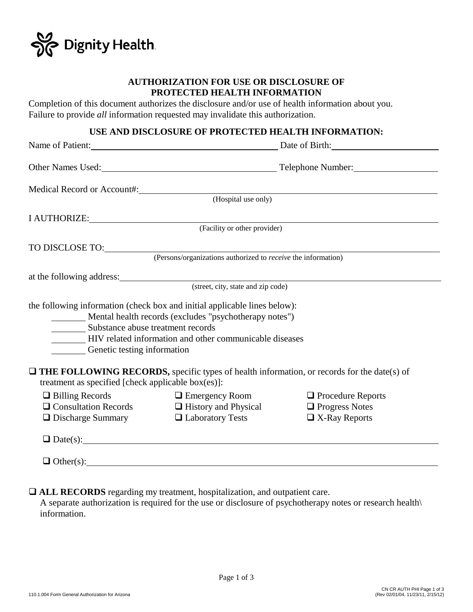

### **AUTHORIZATION FOR USE OR DISCLOSURE OF PROTECTED HEALTH INFORMATION**

Completion of this document authorizes the disclosure and/or use of health information about you. Failure to provide *all* information requested may invalidate this authorization.

## **USE AND DISCLOSURE OF PROTECTED HEALTH INFORMATION:**

|                                                                            |                                                                                                                                                                                                | Name of Patient: Date of Birth: Date of Birth:                            |
|----------------------------------------------------------------------------|------------------------------------------------------------------------------------------------------------------------------------------------------------------------------------------------|---------------------------------------------------------------------------|
|                                                                            |                                                                                                                                                                                                |                                                                           |
|                                                                            |                                                                                                                                                                                                |                                                                           |
|                                                                            | Medical Record or Account#: (Hospital use only)                                                                                                                                                |                                                                           |
|                                                                            |                                                                                                                                                                                                |                                                                           |
|                                                                            | I AUTHORIZE: (Facility or other provider)                                                                                                                                                      |                                                                           |
|                                                                            |                                                                                                                                                                                                |                                                                           |
|                                                                            |                                                                                                                                                                                                |                                                                           |
|                                                                            |                                                                                                                                                                                                |                                                                           |
|                                                                            | at the following address: (street, city, state and zip code)                                                                                                                                   |                                                                           |
| Substance abuse treatment records<br>Genetic testing information           | the following information (check box and initial applicable lines below):<br>Mental health records (excludes "psychotherapy notes")<br>HIV related information and other communicable diseases |                                                                           |
| treatment as specified [check applicable box(es)]:                         | $\Box$ THE FOLLOWING RECORDS, specific types of health information, or records for the date(s) of                                                                                              |                                                                           |
| $\Box$ Billing Records<br>$\Box$ Discharge Summary $\Box$ Laboratory Tests | $\Box$ Emergency Room<br>$\Box$ Consultation Records $\Box$ History and Physical                                                                                                               | $\Box$ Procedure Reports<br>$\Box$ Progress Notes<br>$\Box$ X-Ray Reports |
|                                                                            | $\Box$ Date(s):                                                                                                                                                                                |                                                                           |
|                                                                            | $\Box$ Other(s):                                                                                                                                                                               |                                                                           |

**ALL RECORDS** regarding my treatment, hospitalization, and outpatient care.

 A separate authorization is required for the use or disclosure of psychotherapy notes or research health\ information.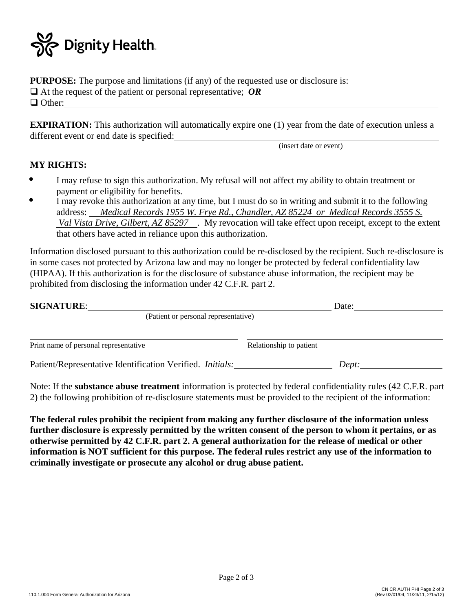

**PURPOSE:** The purpose and limitations (if any) of the requested use or disclosure is: At the request of the patient or personal representative; *OR* □ Other:

**EXPIRATION:** This authorization will automatically expire one (1) year from the date of execution unless a different event or end date is specified:

(insert date or event)

### **MY RIGHTS:**

- I may refuse to sign this authorization. My refusal will not affect my ability to obtain treatment or payment or eligibility for benefits.  $\bullet$
- I may revoke this authorization at any time, but I must do so in writing and submit it to the following address: *Medical Records 1955 W. Frye Rd., Chandler, AZ 85224 or Medical Records 3555 S. Val Vista Drive, Gilbert, AZ 85297* . My revocation will take effect upon receipt, except to the extent that others have acted in reliance upon this authorization.  $\bullet$

Information disclosed pursuant to this authorization could be re-disclosed by the recipient. Such re-disclosure is in some cases not protected by Arizona law and may no longer be protected by federal confidentiality law (HIPAA). If this authorization is for the disclosure of substance abuse information, the recipient may be prohibited from disclosing the information under 42 C.F.R. part 2.

| <b>SIGNATURE:</b>                                         | Date:                   |  |
|-----------------------------------------------------------|-------------------------|--|
| (Patient or personal representative)                      |                         |  |
|                                                           |                         |  |
| Print name of personal representative                     | Relationship to patient |  |
| Patient/Representative Identification Verified. Initials: | Dept:                   |  |

Note: If the **substance abuse treatment** information is protected by federal confidentiality rules (42 C.F.R. part 2) the following prohibition of re-disclosure statements must be provided to the recipient of the information:

**The federal rules prohibit the recipient from making any further disclosure of the information unless further disclosure is expressly permitted by the written consent of the person to whom it pertains, or as otherwise permitted by 42 C.F.R. part 2. A general authorization for the release of medical or other information is NOT sufficient for this purpose. The federal rules restrict any use of the information to criminally investigate or prosecute any alcohol or drug abuse patient.**